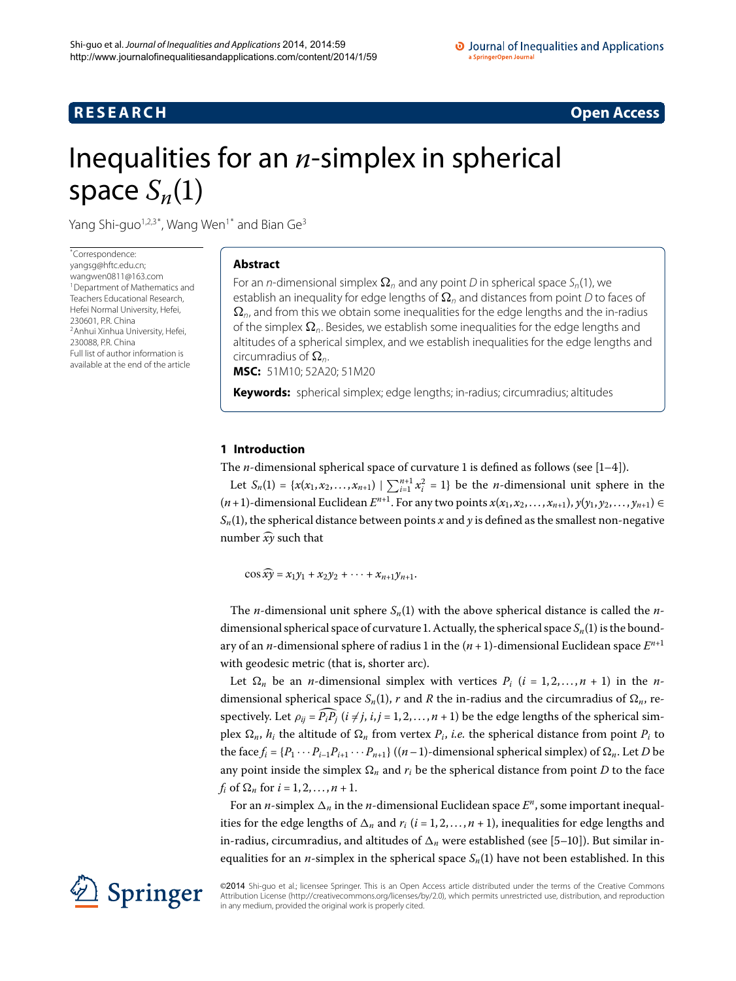## **R E S E A R C H Open Access**

# <span id="page-0-0"></span>Inequalities for an *n*-simplex in spherical space  $S_n(1)$

Yang Shi-guo<sup>1,[2](#page-8-1)[,3](#page-8-2)[\\*](#page-0-0)</sup>, Wang Wen<sup>[1](#page-8-0)\*</sup> and Bian Ge<sup>[3](#page-8-2)</sup>

\* Correspondence: [yangsg@hftc.edu.cn;](mailto:yangsg@hftc.edu.cn) [wangwen0811@163.com](mailto:wangwen0811@163.com) <sup>1</sup> Department of Mathematics and Teachers Educational Research, Hefei Normal University, Hefei, [2](#page-8-1)30601, P.R. China 2Anhui Xinhua University, Hefei, 230088, P.R. China Full list of author information is available at the end of the article

## **Abstract**

For an  $n$ -dimensional simplex  $\bm{\Omega}_n$  and any point  $D$  in spherical space  $S_n$ (1), we establish an inequality for edge lengths of  $\pmb{\Omega}_n$  and distances from point  $D$  to faces of  $\Omega_{\textit{n}}$ , and from this we obtain some inequalities for the edge lengths and the in-radius of the simplex  $\pmb{\Omega}_n$ . Besides, we establish some inequalities for the edge lengths and altitudes of a spherical simplex, and we establish inequalities for the edge lengths and circumradius of  $\Omega_n$ . **MSC:** 51M10; 52A20; 51M20

**Keywords:** spherical simplex; edge lengths; in-radius; circumradius; altitudes

## **1 Introduction**

The *n*-dimensional spherical space of curvature 1 is defined as follows (see  $[1-4]$  $[1-4]$ ).

Let  $S_n(1) = \{x(x_1, x_2, ..., x_{n+1}) \mid \sum_{i=1}^{n+1} x_i^2 = 1\}$  be the *n*-dimensional unit sphere in the  $(n+1)$ -dimensional Euclidean  $E^{n+1}$ . For any two points  $x(x_1, x_2, \ldots, x_{n+1}), y(y_1, y_2, \ldots, y_{n+1}) \in$  $S_n(1)$ , the spherical distance between points *x* and *y* is defined as the smallest non-negative number  $\widehat{x\gamma}$  such that

 $\cos \widehat{xy} = x_1y_1 + x_2y_2 + \cdots + x_{n+1}y_{n+1}.$ 

The *n*-dimensional unit sphere  $S_n(1)$  with the above spherical distance is called the *n*dimensional spherical space of curvature 1. Actually, the spherical space  $S_n(1)$  is the boundary of an *n*-dimensional sphere of radius 1 in the  $(n + 1)$ -dimensional Euclidean space  $E^{n+1}$ with geodesic metric (that is, shorter arc).

Let  $\Omega_n$  be an *n*-dimensional simplex with vertices  $P_i$  ( $i = 1, 2, ..., n + 1$ ) in the *n*dimensional spherical space  $S_n(1)$ , *r* and *R* the in-radius and the circumradius of  $\Omega_n$ , respectively. Let  $\rho_{ij} = P_i P_j$  ( $i \neq j$ ,  $i, j = 1, 2, ..., n + 1$ ) be the edge lengths of the spherical simplex  $\Omega_n$ ,  $h_i$  the altitude of  $\Omega_n$  from vertex  $P_i$ , *i.e.* the spherical distance from point  $P_i$  to the face  $f_i = \{P_1 \cdots P_{i-1}P_{i+1} \cdots P_{n+1}\}$  ((*n* – 1)-dimensional spherical simplex) of  $\Omega_n$ . Let *D* be any point inside the simplex  $\Omega_n$  and  $r_i$  be the spherical distance from point  $D$  to the face  $f_i$  of  $\Omega_n$  for  $i = 1, 2, ..., n + 1$ .

For an *n*-simplex  $\Delta_n$  in the *n*-dimensional Euclidean space  $E^n$ , some important inequalities for the edge lengths of  $\Delta_n$  and  $r_i$  ( $i = 1, 2, ..., n + 1$ ), inequalities for edge lengths and in-radius, circumradius, and altitudes of  $\Delta_n$  were established (see [5[–](#page-8-5)10[\]](#page-8-6)). But similar inequalities for an  $n$ -simplex in the spherical space  $S_n(1)$  have not been established. In this



©2014 Shi-quo et al.; licensee Springer. This is an Open Access article distributed under the terms of the Creative Commons Attribution License [\(http://creativecommons.org/licenses/by/2.0](http://creativecommons.org/licenses/by/2.0)), which permits unrestricted use, distribution, and reproduction in any medium, provided the original work is properly cited.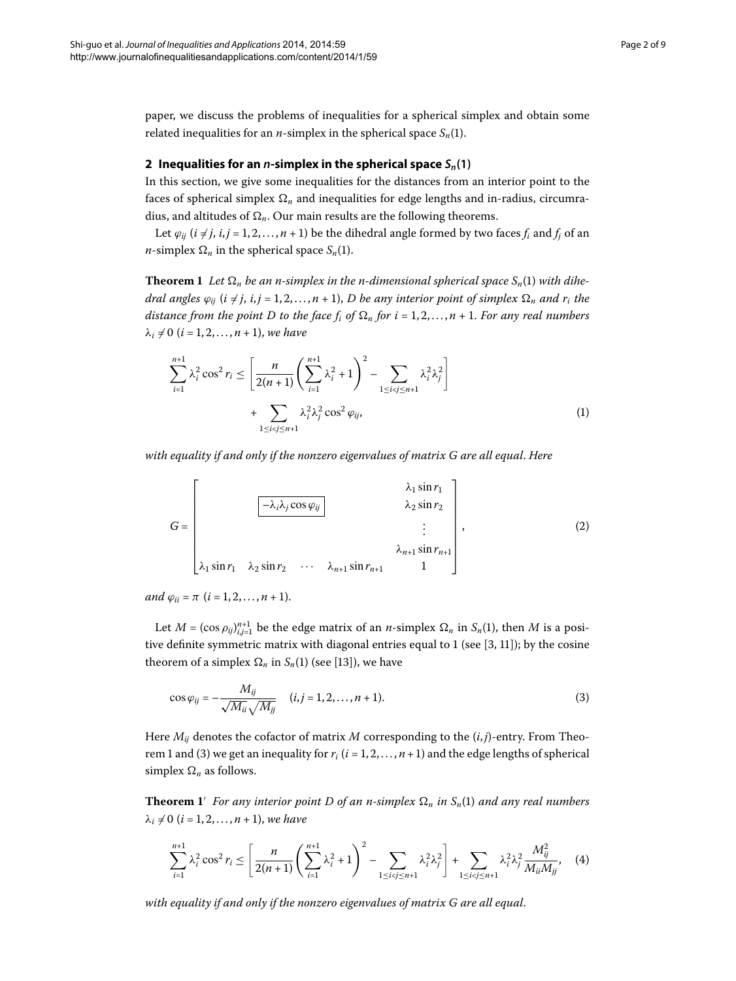paper, we discuss the problems of inequalities for a spherical simplex and obtain some related inequalities for an *n*-simplex in the spherical space  $S_n(1)$ .

## <span id="page-1-0"></span>**2** Inequalities for an *n*-simplex in the spherical space  $S_n(1)$

In this section, we give some inequalities for the distances from an interior point to the faces of spherical simplex  $\Omega_n$  and inequalities for edge lengths and in-radius, circumradius, and altitudes of  $\Omega_n$ . Our main results are the following theorems.

Let  $\varphi_{ij}$  ( $i \neq j$ ,  $i, j = 1, 2, ..., n + 1$ ) be the dihedral angle formed by two faces  $f_i$  and  $f_j$  of an *n*-simplex  $\Omega_n$  in the spherical space  $S_n(1)$ .

<span id="page-1-4"></span>**Theorem 1** Let  $\Omega_n$  be an n-simplex in the n-dimensional spherical space  $S_n(1)$  with dihe $d$ ral angles  $\varphi_{ij}$  ( $i \neq j$ ,  $i,j = 1,2,\ldots,n+1),$   $D$  be any interior point of simplex  $\Omega_n$  and  $r_i$  the distance from the point D to the face  $f_i$  of  $\Omega_n$  for  $i$  =  $1,2,\ldots,n$  +  $1.$  For any real numbers  $\lambda_i \neq 0$  (*i* = 1, 2, . . . , *n* + 1), *we have* 

$$
\sum_{i=1}^{n+1} \lambda_i^2 \cos^2 r_i \le \left[ \frac{n}{2(n+1)} \left( \sum_{i=1}^{n+1} \lambda_i^2 + 1 \right)^2 - \sum_{1 \le i < j \le n+1} \lambda_i^2 \lambda_j^2 \right] + \sum_{1 \le i < j \le n+1} \lambda_i^2 \lambda_j^2 \cos^2 \varphi_{ij}, \tag{1}
$$

*with equality if and only if the nonzero eigenvalues of matrix G are all equal*. *Here*

<span id="page-1-1"></span>
$$
G = \begin{bmatrix} \lambda_1 \sin r_1 \\ \lambda_2 \sin r_2 \\ \vdots \\ \lambda_1 \sin r_1 & \lambda_2 \sin r_2 & \cdots & \lambda_{n+1} \sin r_{n+1} \\ 1 & 1 \end{bmatrix},
$$
 (2)

*and*  $\varphi_{ii} = \pi (i = 1, 2, ..., n + 1).$ 

Let  $M = (\cos \rho_{ij})_{i,j=1}^{n+1}$  be the edge matrix of an *n*-simplex  $\Omega_n$  in  $S_n(1)$ , then M is a positive definite symmetric matrix with diagonal entries equal to 1 (see  $[3, 11]$  $[3, 11]$  $[3, 11]$ ); by the cosine theorem of a simplex  $\Omega_n$  in  $S_n(1)$  (see [13[\]](#page-8-9)), we have

<span id="page-1-3"></span><span id="page-1-2"></span>
$$
\cos \varphi_{ij} = -\frac{M_{ij}}{\sqrt{M_{ii}}\sqrt{M_{jj}}} \quad (i,j = 1, 2, ..., n+1). \tag{3}
$$

Here *Mij* denotes the cofactor of matrix *M* corresponding to the (*i*, *j*)-entry. From Theo-rem 1 and [\(](#page-1-1)3) we get an inequality for  $r_i$  ( $i = 1, 2, ..., n+1$ ) and the edge lengths of spherical  $\text{simplex } \Omega_n$  as follows.

**Theorem 1'** For any interior point D of an n-simplex  $\Omega_n$  in  $S_n(1)$  and any real numbers  $\lambda_i \neq 0$  (*i* = 1, 2, . . . , *n* + 1), *we have* 

$$
\sum_{i=1}^{n+1} \lambda_i^2 \cos^2 r_i \le \left[ \frac{n}{2(n+1)} \left( \sum_{i=1}^{n+1} \lambda_i^2 + 1 \right)^2 - \sum_{1 \le i < j \le n+1} \lambda_i^2 \lambda_j^2 \right] + \sum_{1 \le i < j \le n+1} \lambda_i^2 \lambda_j^2 \frac{M_{ij}^2}{M_{ii} M_{jj}}, \quad (4)
$$

*with equality if and only if the nonzero eigenvalues of matrix G are all equal*.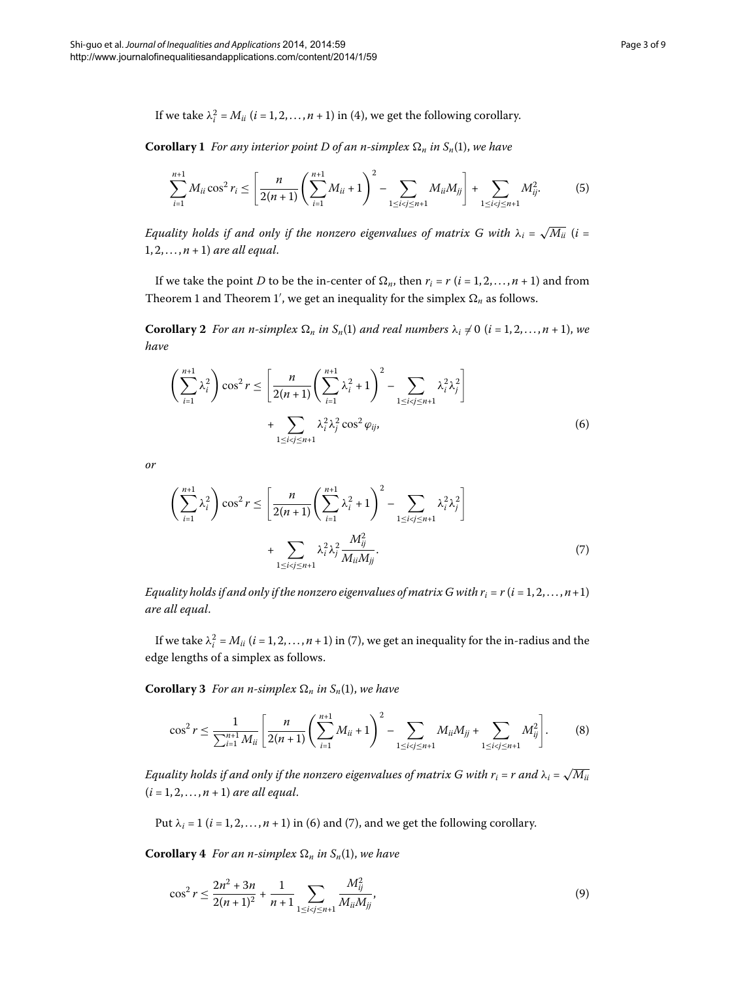**Corollary 1** For any interior point D of an n-simplex  $\Omega_n$  in  $S_n(1)$ , we have

$$
\sum_{i=1}^{n+1} M_{ii} \cos^2 r_i \le \left[ \frac{n}{2(n+1)} \left( \sum_{i=1}^{n+1} M_{ii} + 1 \right)^2 - \sum_{1 \le i < j \le n+1} M_{ii} M_{jj} \right] + \sum_{1 \le i < j \le n+1} M_{ij}^2.
$$
 (5)

*Equality holds if and only if the nonzero eigenvalues of matrix G with*  $\lambda_i = \sqrt{M_{ii}}$  (*i* =  $1, 2, \ldots, n + 1$  *are all equal.* 

<span id="page-2-1"></span>If we take the point *D* to be the in-center of  $\Omega_n$ , then  $r_i = r$  ( $i = 1, 2, ..., n + 1$ ) and from Theorem 1 and Theorem 1', we get an inequality for the simplex  $\Omega_n$  as follows.

<span id="page-2-0"></span>**Corollary** 2 For an n-simplex  $\Omega_n$  in  $S_n(1)$  and real numbers  $\lambda_i \neq 0$  (*i* = 1, 2, ..., *n* + 1), we *have*

$$
\left(\sum_{i=1}^{n+1} \lambda_i^2\right)\cos^2 r \le \left[\frac{n}{2(n+1)}\left(\sum_{i=1}^{n+1} \lambda_i^2 + 1\right)^2 - \sum_{1 \le i < j \le n+1} \lambda_i^2 \lambda_j^2\right] + \sum_{1 \le i < j \le n+1} \lambda_i^2 \lambda_j^2 \cos^2 \varphi_{ij},\tag{6}
$$

*or*

$$
\left(\sum_{i=1}^{n+1} \lambda_i^2\right) \cos^2 r \le \left[\frac{n}{2(n+1)} \left(\sum_{i=1}^{n+1} \lambda_i^2 + 1\right)^2 - \sum_{1 \le i < j \le n+1} \lambda_i^2 \lambda_j^2\right] + \sum_{1 \le i < j \le n+1} \lambda_i^2 \lambda_j^2 \frac{M_{ij}^2}{M_{ii} M_{jj}}.
$$
\n(7)

*Equality holds if and only if the nonzero eigenvalues of matrix G with*  $r_i = r$  *(* $i = 1, 2, ..., n+1$ *) are all equal*.

If we take  $\lambda_i^2 = M_{ii}$   $(i = 1, 2, ..., n + 1)$  $(i = 1, 2, ..., n + 1)$  in (7), we get an inequality for the in-radius and the edge lengths of a simplex as follows.

**Corollary 3** For an n-simplex  $\Omega_n$  in  $S_n(1)$ , we have

$$
\cos^2 r \leq \frac{1}{\sum_{i=1}^{n+1} M_{ii}} \left[ \frac{n}{2(n+1)} \left( \sum_{i=1}^{n+1} M_{ii} + 1 \right)^2 - \sum_{1 \leq i < j \leq n+1} M_{ii} M_{jj} + \sum_{1 \leq i < j \leq n+1} M_{ij}^2 \right].
$$
 (8)

*Equality holds if and only if the nonzero eigenvalues of matrix G with*  $r_i$  *=*  $r$  *and*  $\lambda_i = \sqrt{M_{ii}}$  $(i = 1, 2, ..., n + 1)$  *are all equal.* 

Put  $\lambda_i = 1$  [\(](#page-2-0) $i = 1, 2, ..., n + 1$ ) in (6) and (7), and we get the following corollary.

**Corollary** 4 *For an n-simplex*  $\Omega_n$  *in*  $S_n(1)$ *, we have* 

$$
\cos^2 r \le \frac{2n^2 + 3n}{2(n+1)^2} + \frac{1}{n+1} \sum_{1 \le i < j \le n+1} \frac{M_{ij}^2}{M_{ii} M_{jj}},\tag{9}
$$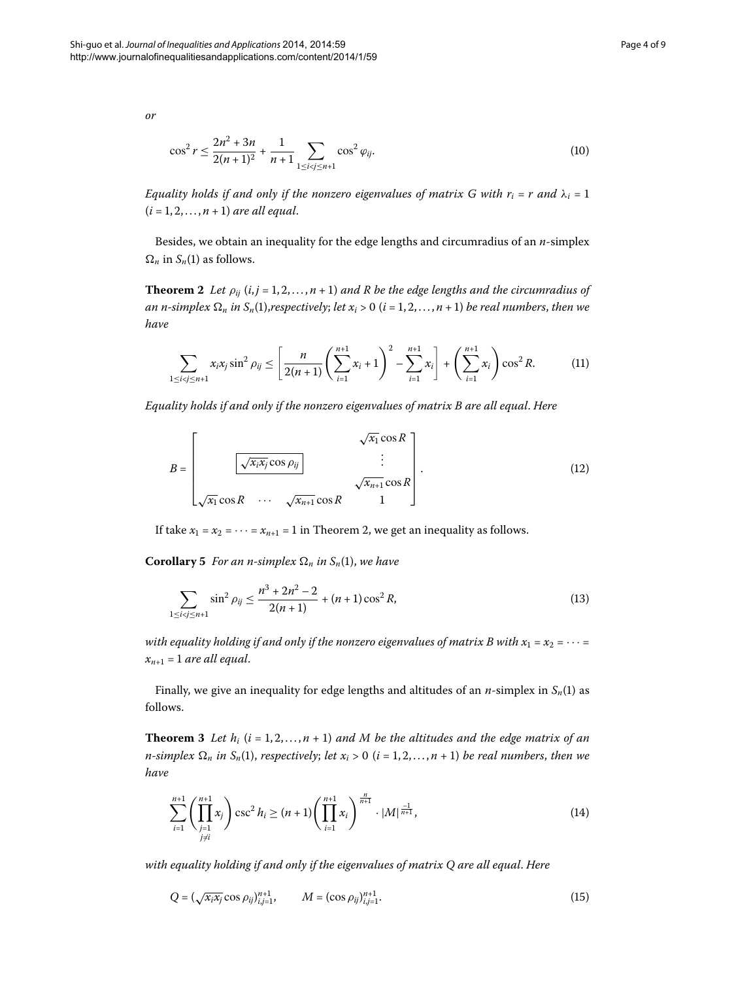*or*

$$
\cos^2 r \le \frac{2n^2 + 3n}{2(n+1)^2} + \frac{1}{n+1} \sum_{1 \le i < j \le n+1} \cos^2 \varphi_{ij}.\tag{10}
$$

<span id="page-3-0"></span>*Equality holds if and only if the nonzero eigenvalues of matrix G with*  $r_i = r$  *and*  $\lambda_i = 1$  $(i = 1, 2, ..., n + 1)$  *are all equal.* 

Besides, we obtain an inequality for the edge lengths and circumradius of an *n*-simplex  $\Omega_n$  in  $S_n(1)$  as follows.

**Theorem 2** Let  $\rho_{ij}$  (*i*, *j* = 1, 2, ..., *n* + 1) and R be the edge lengths and the circumradius of an n-simplex  $\Omega_n$  in  $S_n(1)$ ,respectively; let  $x_i > 0$   $(i = 1, 2, \ldots, n + 1)$  be real numbers, then we *have*

<span id="page-3-3"></span>
$$
\sum_{1 \le i < j \le n+1} x_i x_j \sin^2 \rho_{ij} \le \left[ \frac{n}{2(n+1)} \left( \sum_{i=1}^{n+1} x_i + 1 \right)^2 - \sum_{i=1}^{n+1} x_i \right] + \left( \sum_{i=1}^{n+1} x_i \right) \cos^2 R.
$$
 (11)

*Equality holds if and only if the nonzero eigenvalues of matrix B are all equal*. *Here*

$$
B = \begin{bmatrix} \sqrt{x_i x_j} \cos \rho_{ij} & \cdots & \sqrt{x_{n+1}} \cos R \\ \sqrt{x_1} \cos R & \cdots & \sqrt{x_{n+1}} \cos R \\ \sqrt{x_1} \cos R & \cdots & \sqrt{x_{n+1}} \cos R & 1 \end{bmatrix} .
$$
 (12)

If take  $x_1 = x_2 = \cdots = x_{n+1} = 1$  in Theorem 2, we get an inequality as follows.

**Corollary 5** For an n-simplex  $\Omega_n$  in  $S_n(1)$ , we have

$$
\sum_{1 \le i < j \le n+1} \sin^2 \rho_{ij} \le \frac{n^3 + 2n^2 - 2}{2(n+1)} + (n+1)\cos^2 R,\tag{13}
$$

<span id="page-3-4"></span>*with equality holding if and only if the nonzero eigenvalues of matrix B with*  $x_1 = x_2 = \cdots =$  $x_{n+1} = 1$  are all equal.

Finally, we give an inequality for edge lengths and altitudes of an  $n$ -simplex in  $S_n(1)$  as follows.

**Theorem 3** Let  $h_i$  ( $i = 1, 2, ..., n + 1$ ) and M be the altitudes and the edge matrix of an *n*-simplex  $\Omega_n$  in  $S_n(1)$ , respectively; let  $x_i > 0$  (i = 1, 2, ..., n + 1) be real numbers, then we *have*

<span id="page-3-2"></span><span id="page-3-1"></span>
$$
\sum_{i=1}^{n+1} \left( \prod_{\substack{j=1 \ j \neq i}}^{n+1} x_j \right) \csc^2 h_i \ge (n+1) \left( \prod_{i=1}^{n+1} x_i \right)^{\frac{n}{n+1}} \cdot |M|^{\frac{-1}{n+1}},\tag{14}
$$

*with equality holding if and only if the eigenvalues of matrix Q are all equal*. *Here*

$$
Q = \left(\sqrt{x_i x_j} \cos \rho_{ij}\right)_{i,j=1}^{n+1}, \qquad M = \left(\cos \rho_{ij}\right)_{i,j=1}^{n+1}.
$$
 (15)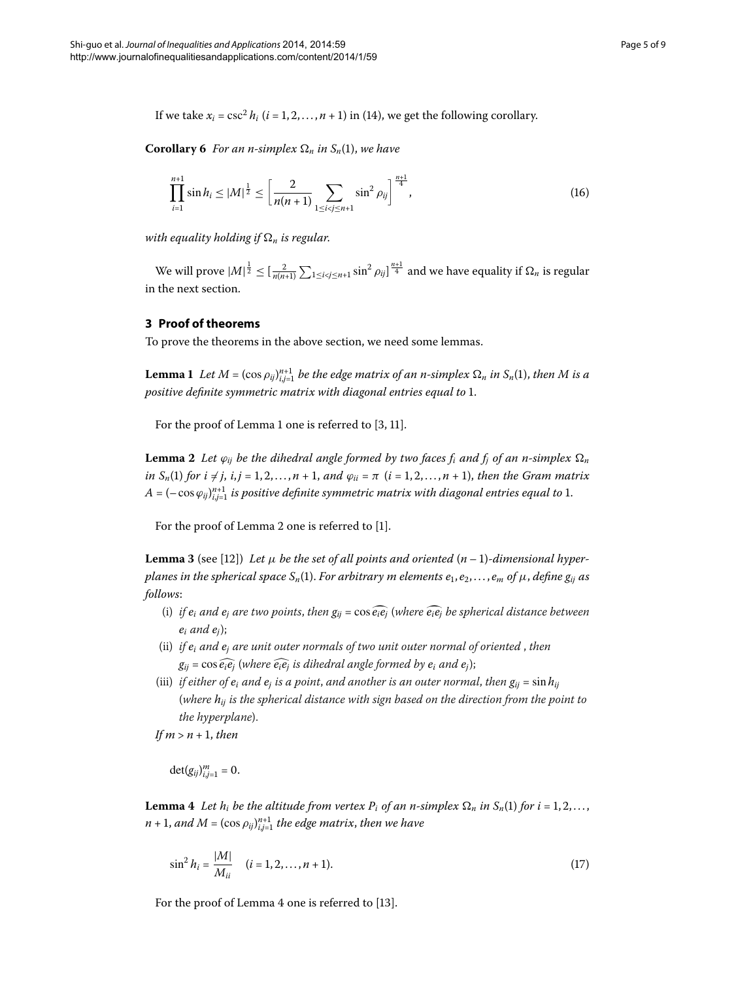If we take  $x_i = \csc^2 h_i$  ( $i = 1, 2, ..., n + 1$ [\)](#page-3-1) in (14), we get the following corollary.

**Corollary 6** For an n-simplex  $\Omega_n$  in  $S_n(1)$ , we have

<span id="page-4-5"></span>
$$
\prod_{i=1}^{n+1} \sin h_i \le |M|^{\frac{1}{2}} \le \left[\frac{2}{n(n+1)} \sum_{1 \le i < j \le n+1} \sin^2 \rho_{ij}\right]^{\frac{n+1}{4}},\tag{16}
$$

with equality holding if  $\Omega_n$  is regular.

<span id="page-4-0"></span>We will prove  $|M|^{\frac{1}{2}} \leq [\frac{2}{n(n+1)}\sum_{1 \leq i < j \leq n+1} \sin^2 \rho_{ij}]^{\frac{n+1}{4}}$  and we have equality if  $\Omega_n$  is regular in the next section.

## **3 Proof of theorems**

<span id="page-4-1"></span>To prove the theorems in the above section, we need some lemmas.

**Lemma 1** Let  $M = (\cos \rho_{ij})_{i,j=1}^{n+1}$  be the edge matrix of an n-simplex  $\Omega_n$  in  $S_n(1)$ , then M is a *positive definite symmetric matrix with diagonal entries equal to* 1.

For the proof of Lemma 1 one is referred to  $[3, 11]$  $[3, 11]$  $[3, 11]$ .

<span id="page-4-3"></span>**Lemma 2** Let  $\varphi_{ij}$  be the dihedral angle formed by two faces  $f_i$  and  $f_j$  of an n-simplex  $\Omega_n$ *in*  $S_n(1)$  *for*  $i \neq j$ ,  $i, j = 1, 2, ..., n + 1$ , and  $\varphi_{ii} = \pi$   $(i = 1, 2, ..., n + 1)$ , then the Gram matrix *A* = (− cos  $\varphi_{ij}$ ) $_{i,j=1}^{n+1}$  is positive definite symmetric matrix with diagonal entries equal to 1.

For the proof of Lemma 2 one is referred to  $[1]$  $[1]$ .

**Lemma 3** (see [12[\]](#page-8-10)) Let  $\mu$  be the set of all points and oriented  $(n-1)$ -dimensional hyper*planes in the spherical space*  $S_n(1)$ . *For arbitrary m elements*  $e_1, e_2, \ldots, e_m$  *of*  $\mu$ *, define*  $g_{ij}$  *as follows*:

- (i) *if*  $e_i$  *and*  $e_j$  *are two points, then*  $g_{ij} = \cos \widehat{e_i e_j}$  (*where*  $\widehat{e_i e_j}$  *be spherical distance between*  $e_i$  *and*  $e_i$ );
- (ii) *if ei and ej are unit outer normals of two unit outer normal of oriented* , *then*  $g_{ij} = \cos \widehat{e_i e_j}$  (where  $\widehat{e_i e_j}$  *is dihedral angle formed by*  $e_i$  *and*  $e_j$ );
- <span id="page-4-2"></span>(iii) *if either of*  $e_i$  *and*  $e_j$  *is a point, and another is an outer normal, then*  $g_{ij} = \sin h_{ij}$ (*where hij is the spherical distance with sign based on the direction from the point to the hyperplane*).

 $If *m* > *n*+1, then$ 

<span id="page-4-4"></span> $\det(g_{ij})_{i,j=1}^m = 0.$ 

**Lemma 4** Let  $h_i$  be the altitude from vertex  $P_i$  of an n-simplex  $\Omega_n$  in  $S_n(1)$  for  $i = 1, 2, \ldots,$  $n+1$ , and  $M = (\cos \rho_{ij})_{i,j=1}^{n+1}$  the edge matrix, then we have

$$
\sin^2 h_i = \frac{|M|}{M_{ii}} \quad (i = 1, 2, \dots, n + 1). \tag{17}
$$

For the proof of Lemma 4 one is referred to [\[](#page-8-9)13].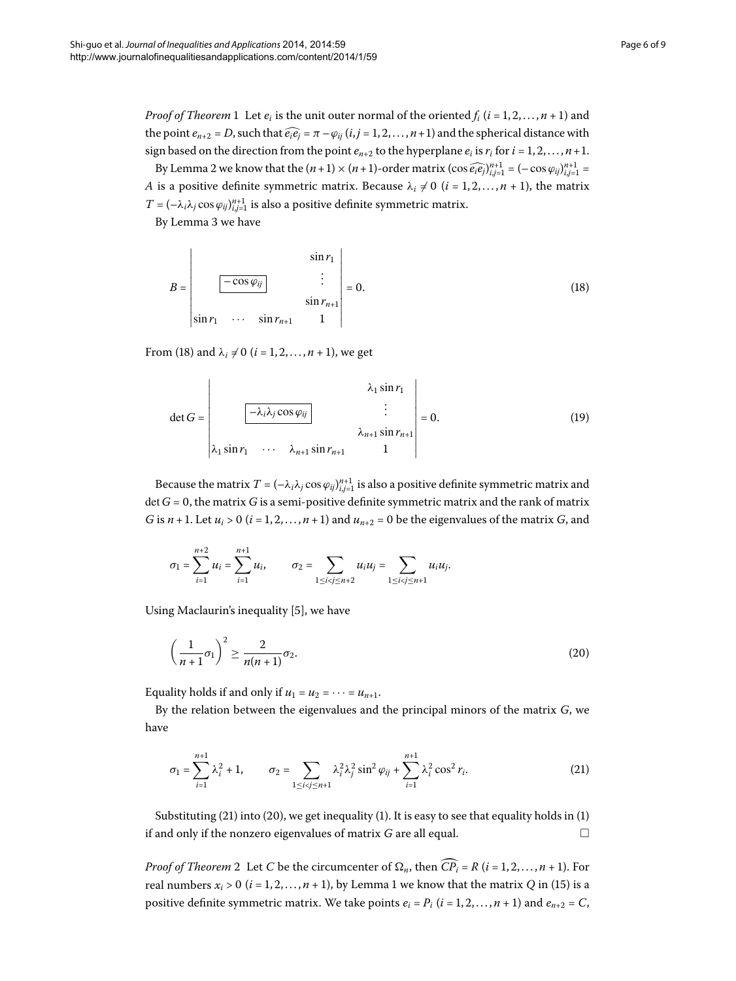*Proof of Theorem* 1 Let  $e_i$  is the unit outer normal of the oriented  $f_i$  ( $i = 1, 2, ..., n + 1$ ) and the point  $e_{n+2} = D$ , such that  $\widehat{e_i e_j} = \pi - \varphi_{ii}$  ( $i, j = 1, 2, ..., n+1$ ) and the spherical distance with sign based on the direction from the point  $e_{n+2}$  to the hyperplane  $e_i$  is  $r_i$  for  $i = 1, 2, ..., n+1$ .

By Lemma 2 we know that the  $(n + 1) \times (n + 1)$ -order matrix  $(\cos \widehat{e_i e_j})_{i,j=1}^{n+1} = (-\cos \varphi_{ij})_{i,j=1}^{n+1}$ *A* is a positive definite symmetric matrix. Because  $\lambda_i \neq 0$  ( $i = 1, 2, ..., n + 1$ ), the matrix  $T = (-\lambda_i \lambda_j \cos \varphi_{ij})_{i,j=1}^{n+1}$  is also a positive definite symmetric matrix.

By Lemma 3 we have

<span id="page-5-0"></span>
$$
B = \begin{vmatrix} \sin r_1 \\ -\cos \varphi_{ij} \\ \sin r_1 & \cdots & \sin r_{n+1} \\ \sin r_1 & \cdots & \sin r_{n+1} \end{vmatrix} = 0.
$$
 (18)

From (18) and  $\lambda_i \neq 0$  ( $i = 1, 2, ..., n + 1$ ), we get

$$
\det G = \begin{vmatrix} \lambda_1 \sin r_1 \\ \vdots \\ \lambda_{n+1} \sin r_{n+1} \\ \lambda_1 \sin r_1 & \cdots & \lambda_{n+1} \sin r_{n+1} \end{vmatrix} = 0.
$$
 (19)

Because the matrix  $T = (-\lambda_i\lambda_j\cos\varphi_{ij})_{i,j=1}^{n+1}$  is also a positive definite symmetric matrix and det  $G = 0$ , the matrix G is a semi-positive definite symmetric matrix and the rank of matrix *G* is  $n + 1$ . Let  $u_i > 0$  ( $i = 1, 2, ..., n + 1$ ) and  $u_{n+2} = 0$  be the eigenvalues of the matrix *G*, and

<span id="page-5-2"></span>
$$
\sigma_1 = \sum_{i=1}^{n+2} u_i = \sum_{i=1}^{n+1} u_i, \qquad \sigma_2 = \sum_{1 \leq i < j \leq n+2} u_i u_j = \sum_{1 \leq i < j \leq n+1} u_i u_j.
$$

Using Maclaurin's inequality [5], we have

<span id="page-5-1"></span>
$$
\left(\frac{1}{n+1}\sigma_1\right)^2 \ge \frac{2}{n(n+1)}\sigma_2.
$$
\n(20)

Equality holds if and only if  $u_1 = u_2 = \cdots = u_{n+1}$ .

By the relation between the eigenvalues and the principal minors of the matrix *G*, we have

$$
\sigma_1 = \sum_{i=1}^{n+1} \lambda_i^2 + 1, \qquad \sigma_2 = \sum_{1 \le i < j \le n+1} \lambda_i^2 \lambda_j^2 \sin^2 \varphi_{ij} + \sum_{i=1}^{n+1} \lambda_i^2 \cos^2 r_i.
$$
 (21)

Substituting  $(21)$  $(21)$  into  $(20)$ , we get inequality  $(1)$ . It is easy to see that equality holds in  $(1)$ if and only if the nonzero eigenvalues of matrix  $G$  are all equal.  $\Box$ 

*Proof of Theorem* 2 Let *C* be the circumcenter of  $\Omega_n$ , then  $CP_i = R$  (*i* = 1, 2, ..., *n* + 1). For real numbers  $x_i > 0$  [\(](#page-3-2) $i = 1, 2, ..., n + 1$ ), by Lemma 1 we know that the matrix *Q* in (15) is a positive definite symmetric matrix. We take points  $e_i = P_i$  ( $i = 1, 2, ..., n + 1$ ) and  $e_{n+2} = C$ ,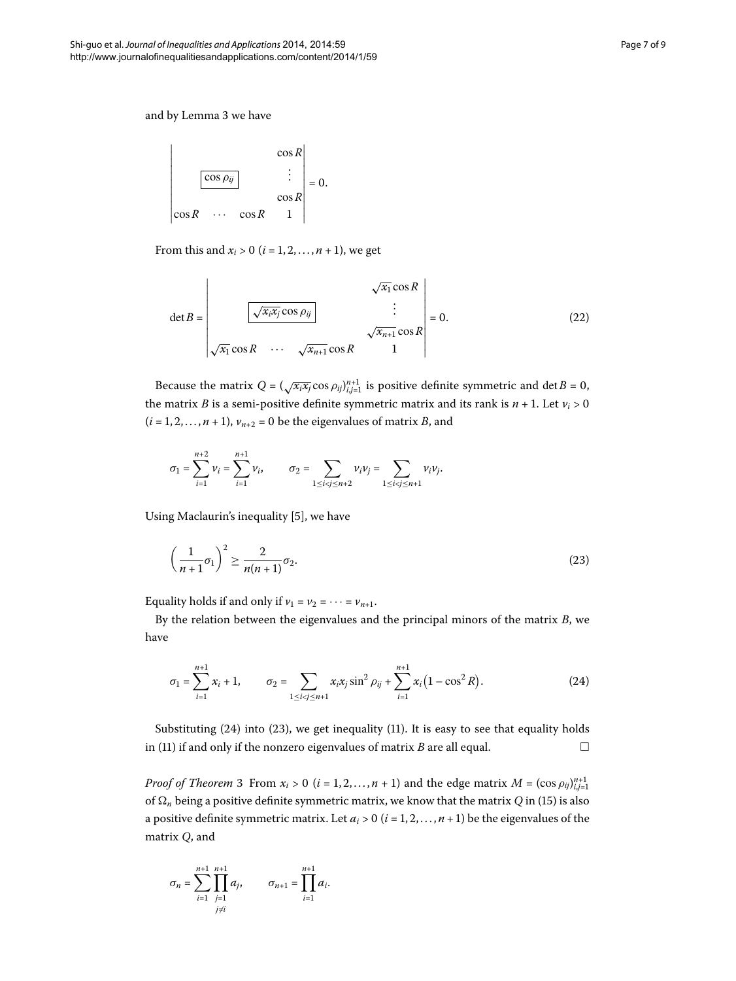and by Lemma 3 we have



From this and  $x_i > 0$  ( $i = 1, 2, ..., n + 1$ ), we get

$$
\det B = \begin{vmatrix} \sqrt{x_i} \cos R \\ \frac{\sqrt{x_i x_j} \cos \rho_{ij}}{\sqrt{x_{n+1}} \cos R} \end{vmatrix} = 0.
$$
 (22)

Because the matrix  $Q = (\sqrt{x_i x_j} \cos \rho_{ij})_{i,j=1}^{n+1}$  is positive definite symmetric and det *B* = 0, the matrix *B* is a semi-positive definite symmetric matrix and its rank is  $n + 1$ . Let  $v_i > 0$  $(i = 1, 2, \ldots, n + 1)$ ,  $v_{n+2} = 0$  be the eigenvalues of matrix *B*, and

<span id="page-6-1"></span>
$$
\sigma_1 = \sum_{i=1}^{n+2} \nu_i = \sum_{i=1}^{n+1} \nu_i, \qquad \sigma_2 = \sum_{1 \le i < j \le n+2} \nu_i \nu_j = \sum_{1 \le i < j \le n+1} \nu_i \nu_j.
$$

Using Maclaurin's inequality [5], we have

<span id="page-6-0"></span>
$$
\left(\frac{1}{n+1}\sigma_1\right)^2 \ge \frac{2}{n(n+1)}\sigma_2.
$$
\n(23)

Equality holds if and only if  $v_1 = v_2 = \cdots = v_{n+1}$ .

By the relation between the eigenvalues and the principal minors of the matrix *B*, we have

$$
\sigma_1 = \sum_{i=1}^{n+1} x_i + 1, \qquad \sigma_2 = \sum_{1 \le i < j \le n+1} x_i x_j \sin^2 \rho_{ij} + \sum_{i=1}^{n+1} x_i (1 - \cos^2 R). \tag{24}
$$

Substituting  $(24)$  $(24)$  into  $(23)$ , we get inequality  $(11)$ . It is easy to see that equality holds in  $(11)$  $(11)$  if and only if the nonzero eigenvalues of matrix *B* are all equal.  $\Box$ 

*Proof of Theorem* 3 From  $x_i > 0$  ( $i = 1, 2, ..., n + 1$ ) and the edge matrix  $M = (\cos \rho_{ij})_{i,j=1}^{n+1}$ of  $\Omega_n$  being a positive definite symmetric matrix, we know that the matrix  $Q$  in (15[\)](#page-3-2) is also a positive definite symmetric matrix. Let  $a_i > 0$  ( $i = 1, 2, ..., n + 1$ ) be the eigenvalues of the matrix *Q*, and

$$
\sigma_n = \sum_{i=1}^{n+1} \prod_{\substack{j=1 \ j \neq i}}^{n+1} a_j, \qquad \sigma_{n+1} = \prod_{i=1}^{n+1} a_i.
$$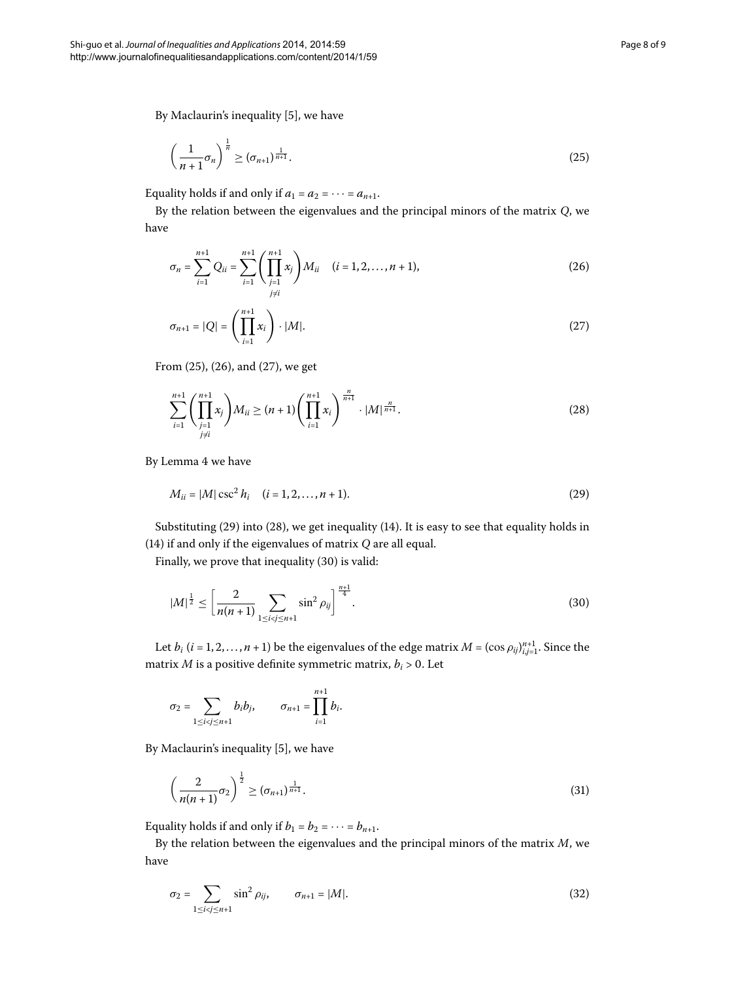By Maclaurin's inequality [\[](#page-8-5)5], we have

<span id="page-7-1"></span><span id="page-7-0"></span>
$$
\left(\frac{1}{n+1}\sigma_n\right)^{\frac{1}{n}} \geq \left(\sigma_{n+1}\right)^{\frac{1}{n+1}}.\tag{25}
$$

Equality holds if and only if  $a_1 = a_2 = \cdots = a_{n+1}$ .

By the relation between the eigenvalues and the principal minors of the matrix *Q*, we have

<span id="page-7-2"></span>
$$
\sigma_n = \sum_{i=1}^{n+1} Q_{ii} = \sum_{i=1}^{n+1} \left( \prod_{\substack{j=1 \ j\neq i}}^{n+1} x_j \right) M_{ii} \quad (i = 1, 2, \dots, n+1), \tag{26}
$$

<span id="page-7-4"></span>
$$
\sigma_{n+1} = |Q| = \left(\prod_{i=1}^{n+1} x_i\right) \cdot |M|.
$$
 (27)

From  $(25)$  $(25)$ ,  $(26)$ , and  $(27)$ , we get

<span id="page-7-3"></span>
$$
\sum_{i=1}^{n+1} \left( \prod_{\substack{j=1 \ j \neq i}}^{n+1} x_j \right) M_{ii} \ge (n+1) \left( \prod_{i=1}^{n+1} x_i \right)^{\frac{n}{n+1}} \cdot |M|^{\frac{n}{n+1}}.
$$
 (28)

By Lemma 4 we have

<span id="page-7-5"></span>
$$
M_{ii} = |M| \csc^2 h_i \quad (i = 1, 2, \dots, n + 1). \tag{29}
$$

Substituting (29[\)](#page-7-3) into (28), we get inequality (14). It is easy to see that equality holds in ([\)](#page-3-1) if and only if the eigenvalues of matrix *Q* are all equal.

Finally, we prove that inequality (30) is valid:

$$
|M|^{\frac{1}{2}} \le \left[\frac{2}{n(n+1)} \sum_{1 \le i < j \le n+1} \sin^2 \rho_{ij}\right]^{\frac{n+1}{4}}.\tag{30}
$$

Let  $b_i$   $(i = 1, 2, ..., n + 1)$  be the eigenvalues of the edge matrix  $M = (\cos \rho_{ij})_{i,j=1}^{n+1}$ . Since the matrix  $M$  is a positive definite symmetric matrix,  $b_i > 0$ . Let

<span id="page-7-6"></span>
$$
\sigma_2=\sum_{1\leq i
$$

By Maclaurin's inequality  $[5]$  $[5]$ , we have

<span id="page-7-7"></span>
$$
\left(\frac{2}{n(n+1)}\sigma_2\right)^{\frac{1}{2}} \geq \left(\sigma_{n+1}\right)^{\frac{1}{n+1}}.\tag{31}
$$

Equality holds if and only if  $b_1 = b_2 = \cdots = b_{n+1}$ .

By the relation between the eigenvalues and the principal minors of the matrix *M*, we have

$$
\sigma_2 = \sum_{1 \le i < j \le n+1} \sin^2 \rho_{ij}, \qquad \sigma_{n+1} = |M|.
$$
\n(32)